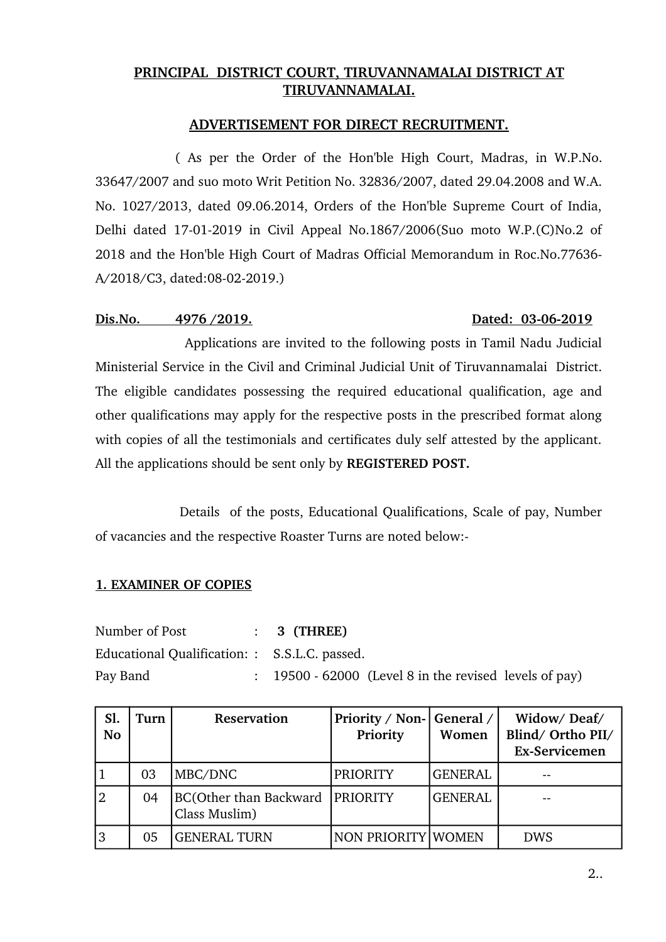## **PRINCIPAL DISTRICT COURT, TIRUVANNAMALAI DISTRICT AT TIRUVANNAMALAI.**

## **ADVERTISEMENT FOR DIRECT RECRUITMENT.**

( As per the Order of the Hon'ble High Court, Madras, in W.P.No. 33647/2007 and suo moto Writ Petition No. 32836/2007, dated 29.04.2008 and W.A. No. 1027/2013, dated 09.06.2014, Orders of the Hon'ble Supreme Court of India, Delhi dated 17-01-2019 in Civil Appeal No.1867/2006(Suo moto W.P.(C)No.2 of 2018 and the Hon'ble High Court of Madras Official Memorandum in Roc.No.77636 A/2018/C3, dated:08-02-2019.)

## Dis.No. 4976 /2019. **Distribution 1208** Dated: 03-06-2019

Applications are invited to the following posts in Tamil Nadu Judicial Ministerial Service in the Civil and Criminal Judicial Unit of Tiruvannamalai District. The eligible candidates possessing the required educational qualification, age and other qualifications may apply for the respective posts in the prescribed format along with copies of all the testimonials and certificates duly self attested by the applicant. All the applications should be sent only by **REGISTERED POST.** 

 Details of the posts, Educational Qualifications, Scale of pay, Number of vacancies and the respective Roaster Turns are noted below:

## **1. EXAMINER OF COPIES**

| Number of Post                                | $: 3$ (THREE)                                                     |
|-----------------------------------------------|-------------------------------------------------------------------|
| Educational Qualification: : S.S.L.C. passed. |                                                                   |
| Pay Band                                      | $\therefore$ 19500 - 62000 (Level 8 in the revised levels of pay) |

| Sl.<br><b>No</b> | Turn | Reservation                                        | Priority / Non- General /<br>Priority | Women          | Widow/Deaf/<br>Blind/ Ortho PII/<br><b>Ex-Servicemen</b> |
|------------------|------|----------------------------------------------------|---------------------------------------|----------------|----------------------------------------------------------|
|                  | 03   | MBC/DNC                                            | <b>PRIORITY</b>                       | <b>GENERAL</b> | --                                                       |
| 2                | 04   | BC(Other than Backward   PRIORITY<br>Class Muslim) |                                       | <b>GENERAL</b> |                                                          |
| 3                | 05   | <b>GENERAL TURN</b>                                | NON PRIORITY WOMEN                    |                | <b>DWS</b>                                               |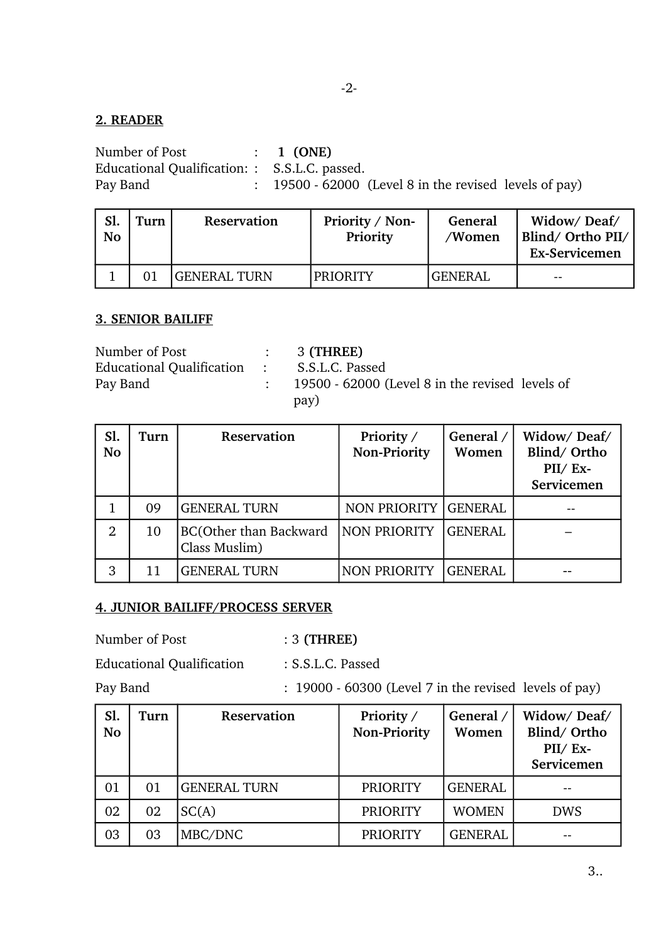#### $-2-$

## **2. READER**

Number of Post : 1 (ONE) Educational Qualification: : S.S.L.C. passed. Pay Band : 19500 - 62000 (Level 8 in the revised levels of pay)

| Sl.<br><b>No</b> | Turn | Reservation         | Priority / Non-<br>Priority | General<br>/Women | Widow/Deaf/<br>Blind/Ortho PII/<br><b>Ex-Servicemen</b> |
|------------------|------|---------------------|-----------------------------|-------------------|---------------------------------------------------------|
|                  |      | <b>GENERAL TURN</b> | <b>PRIORITY</b>             | <b>GENERAL</b>    | $- -$                                                   |

## **3. SENIOR BAILIFF**

| Number of Post                              | $: 3$ (THREE)                                   |
|---------------------------------------------|-------------------------------------------------|
| Educational Qualification : S.S.L.C. Passed |                                                 |
| Pay Band                                    | 19500 - 62000 (Level 8 in the revised levels of |
|                                             | pay)                                            |

| Sl.<br><b>No</b> | Turn | Reservation                             | Priority /<br><b>Non-Priority</b> | General /<br>Women | Widow/Deaf/<br>Blind/Ortho<br>$PII/ Ex-$<br>Servicemen |
|------------------|------|-----------------------------------------|-----------------------------------|--------------------|--------------------------------------------------------|
|                  | 09   | <b>GENERAL TURN</b>                     | NON PRIORITY GENERAL              |                    |                                                        |
| $\overline{2}$   | 10   | BC(Other than Backward<br>Class Muslim) | NON PRIORITY                      | <b>GENERAL</b>     |                                                        |
| 3                | 11   | <b>GENERAL TURN</b>                     | <b>NON PRIORITY</b>               | <b>GENERAL</b>     |                                                        |

## **4. JUNIOR BAILIFF/PROCESS SERVER**

Number of Post : 3 **(THREE)**

Educational Qualification : S.S.L.C. Passed

Pay Band : 19000 60300 (Level 7 in the revised levels of pay)

| Sl.<br>No | Turn | Reservation         | Priority /<br><b>Non-Priority</b> | General /<br>Women | Widow/Deaf/<br>Blind/Ortho<br>$PII/ Ex-$<br>Servicemen |
|-----------|------|---------------------|-----------------------------------|--------------------|--------------------------------------------------------|
| 01        | 01   | <b>GENERAL TURN</b> | <b>PRIORITY</b>                   | <b>GENERAL</b>     |                                                        |
| 02        | 02   | SC(A)               | <b>PRIORITY</b>                   | <b>WOMEN</b>       | <b>DWS</b>                                             |
| 03        | 03   | MBC/DNC             | <b>PRIORITY</b>                   | <b>GENERAL</b>     |                                                        |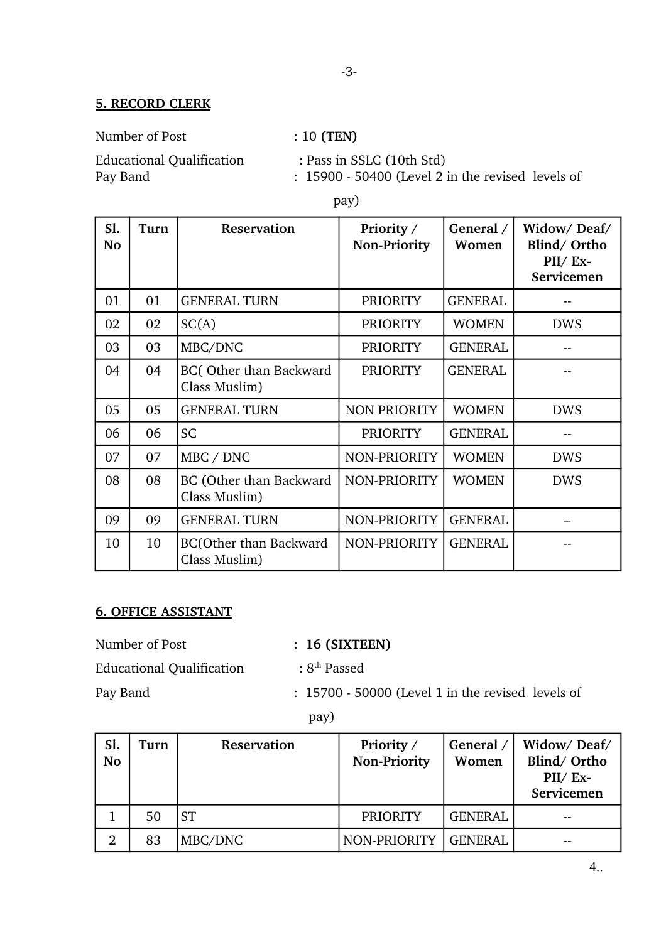## **5. RECORD CLERK**

Number of Post : 10 (TEN)

Educational Qualification : Pass in SSLC (10th Std) Pay Band : 15900 - 50400 (Level 2 in the revised levels of

pay)

| S1.<br>No | Turn | <b>Reservation</b>                             | Priority /<br><b>Non-Priority</b> | General /<br>Women | Widow/Deaf/<br>Blind/Ortho<br>$PII/Ex-$<br>Servicemen |
|-----------|------|------------------------------------------------|-----------------------------------|--------------------|-------------------------------------------------------|
| 01        | 01   | <b>GENERAL TURN</b>                            | <b>PRIORITY</b>                   | <b>GENERAL</b>     |                                                       |
| 02        | 02   | SC(A)                                          | <b>PRIORITY</b>                   | <b>WOMEN</b>       | <b>DWS</b>                                            |
| 03        | 03   | MBC/DNC                                        | <b>PRIORITY</b>                   | <b>GENERAL</b>     |                                                       |
| 04        | 04   | BC(Other than Backward<br>Class Muslim)        | <b>PRIORITY</b>                   | <b>GENERAL</b>     |                                                       |
| 05        | 05   | <b>GENERAL TURN</b>                            | <b>NON PRIORITY</b>               | <b>WOMEN</b>       | <b>DWS</b>                                            |
| 06        | 06   | <b>SC</b>                                      | <b>PRIORITY</b>                   | <b>GENERAL</b>     |                                                       |
| 07        | 07   | MBC / DNC                                      | NON-PRIORITY                      | <b>WOMEN</b>       | <b>DWS</b>                                            |
| 08        | 08   | BC (Other than Backward<br>Class Muslim)       | NON-PRIORITY                      | <b>WOMEN</b>       | <b>DWS</b>                                            |
| 09        | 09   | <b>GENERAL TURN</b>                            | NON-PRIORITY                      | <b>GENERAL</b>     |                                                       |
| 10        | 10   | <b>BC(Other than Backward</b><br>Class Muslim) | NON-PRIORITY                      | <b>GENERAL</b>     |                                                       |

# **6. OFFICE ASSISTANT**

| Number of Post                   | $: 16$ (SIXTEEN)                                  |
|----------------------------------|---------------------------------------------------|
| <b>Educational Qualification</b> | : $8th$ Passed                                    |
| Pay Band                         | : 15700 - 50000 (Level 1 in the revised levels of |

pay)

| Sl.<br>No      | Turn | Reservation | Priority /<br><b>Non-Priority</b> | General /<br>Women | Widow/Deaf/<br>Blind/Ortho<br>$PII/ Ex-$<br>Servicemen |
|----------------|------|-------------|-----------------------------------|--------------------|--------------------------------------------------------|
|                | 50   | <b>ST</b>   | <b>PRIORITY</b>                   | <b>GENERAL</b>     |                                                        |
| $\overline{2}$ | 83   | MBC/DNC     | NON-PRIORITY                      | <b>GENERAL</b>     |                                                        |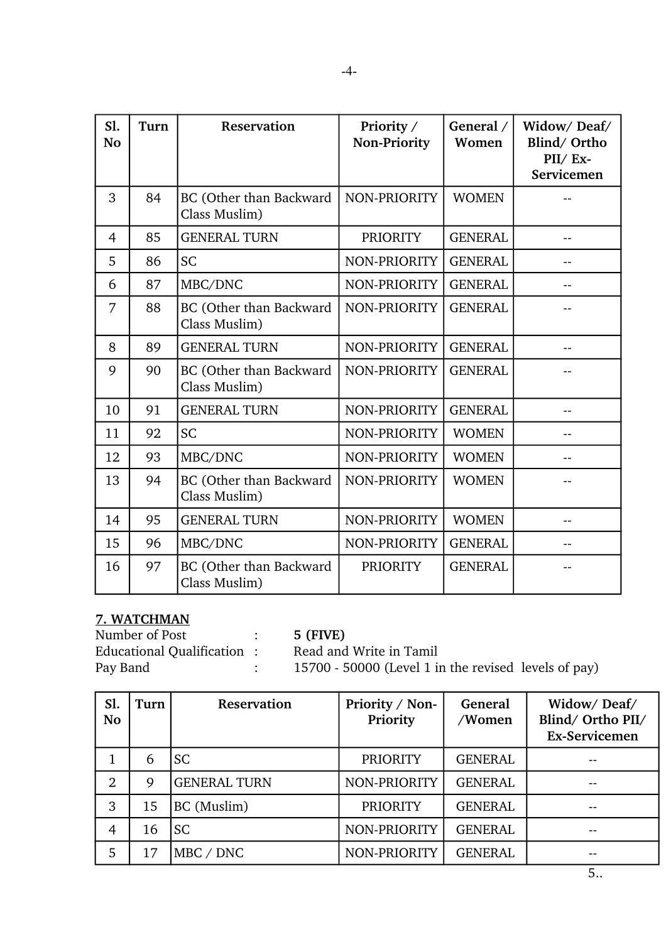| S1.<br><b>No</b> | Turn | <b>Reservation</b>                       | Priority /<br><b>Non-Priority</b> | General /<br>Women | Widow/Deaf/<br>Blind/Ortho<br>PII/ Ex-<br>Servicemen |
|------------------|------|------------------------------------------|-----------------------------------|--------------------|------------------------------------------------------|
| 3                | 84   | BC (Other than Backward<br>Class Muslim) | NON-PRIORITY                      | <b>WOMEN</b>       |                                                      |
| $\overline{4}$   | 85   | <b>GENERAL TURN</b>                      | <b>PRIORITY</b>                   | <b>GENERAL</b>     |                                                      |
| 5                | 86   | <b>SC</b>                                | NON-PRIORITY                      | <b>GENERAL</b>     |                                                      |
| 6                | 87   | MBC/DNC                                  | NON-PRIORITY                      | <b>GENERAL</b>     |                                                      |
| 7                | 88   | BC (Other than Backward<br>Class Muslim) | NON-PRIORITY                      | <b>GENERAL</b>     |                                                      |
| 8                | 89   | <b>GENERAL TURN</b>                      | NON-PRIORITY                      | <b>GENERAL</b>     |                                                      |
| 9                | 90   | BC (Other than Backward<br>Class Muslim) | NON-PRIORITY                      | <b>GENERAL</b>     |                                                      |
| 10               | 91   | <b>GENERAL TURN</b>                      | NON-PRIORITY                      | <b>GENERAL</b>     |                                                      |
| 11               | 92   | <b>SC</b>                                | NON-PRIORITY                      | <b>WOMEN</b>       |                                                      |
| 12               | 93   | MBC/DNC                                  | NON-PRIORITY                      | <b>WOMEN</b>       |                                                      |
| 13               | 94   | BC (Other than Backward<br>Class Muslim) | NON-PRIORITY                      | <b>WOMEN</b>       |                                                      |
| 14               | 95   | <b>GENERAL TURN</b>                      | NON-PRIORITY                      | <b>WOMEN</b>       |                                                      |
| 15               | 96   | MBC/DNC                                  | NON-PRIORITY                      | <b>GENERAL</b>     |                                                      |
| 16               | 97   | BC (Other than Backward<br>Class Muslim) | <b>PRIORITY</b>                   | <b>GENERAL</b>     |                                                      |

## **7. WATCHMAN**

Number of Post : **5 (FIVE)** Educational Qualification : Read and Write in Tamil<br>Pay Band : 15700 - 50000 (Level 1 in

 $\frac{15700 - 50000}{2}$  (Level 1 in the revised levels of pay)

| Sl.<br><b>No</b> | Turn | Reservation         | Priority / Non-<br>Priority | General<br>/Women | Widow/Deaf/<br>Blind/Ortho PII/<br><b>Ex-Servicemen</b> |
|------------------|------|---------------------|-----------------------------|-------------------|---------------------------------------------------------|
| T                | 6    | <b>SC</b>           | <b>PRIORITY</b>             | <b>GENERAL</b>    | --                                                      |
| $\overline{2}$   | 9    | <b>GENERAL TURN</b> | NON-PRIORITY                | <b>GENERAL</b>    | --                                                      |
| 3                | 15   | BC (Muslim)         | <b>PRIORITY</b>             | <b>GENERAL</b>    | --                                                      |
| $\overline{4}$   | 16   | <b>SC</b>           | NON-PRIORITY                | <b>GENERAL</b>    | --                                                      |
| 5                | 17   | MBC / DNC           | NON-PRIORITY                | <b>GENERAL</b>    | --                                                      |

5..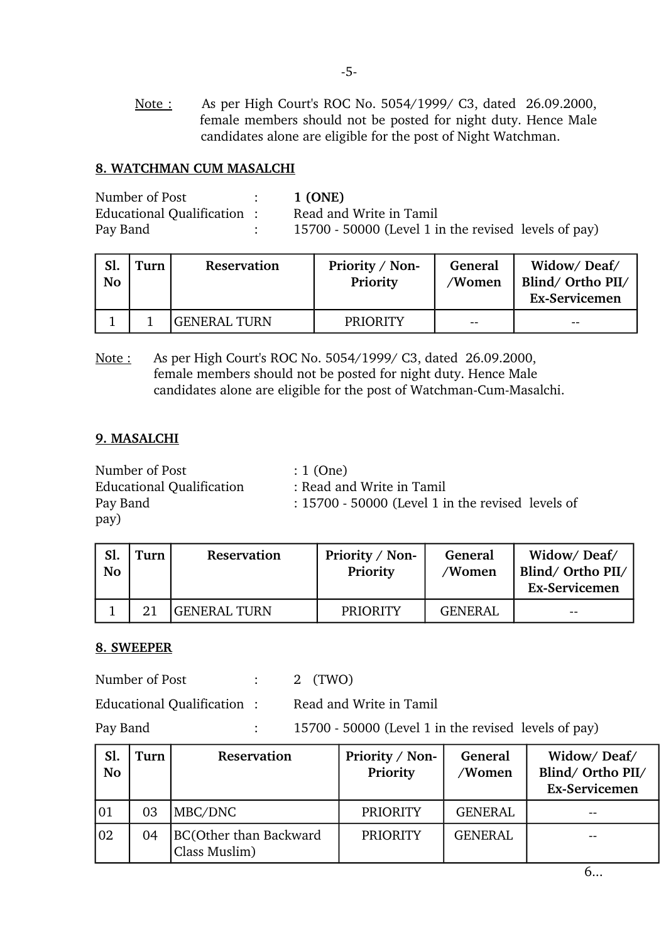Note: As per High Court's ROC No. 5054/1999/ C3, dated 26.09.2000, female members should not be posted for night duty. Hence Male candidates alone are eligible for the post of Night Watchman.

### **8. WATCHMAN CUM MASALCHI**

| Number of Post             | 1 (ONE)                                              |
|----------------------------|------------------------------------------------------|
| Educational Qualification: | Read and Write in Tamil                              |
| Pay Band                   | 15700 - 50000 (Level 1 in the revised levels of pay) |

| Sl.<br><b>No</b> | Turn | Reservation  | Priority / Non-<br>Priority | General<br>/Women | Widow/Deaf/<br>Blind/Ortho PII/<br><b>Ex-Servicemen</b> |
|------------------|------|--------------|-----------------------------|-------------------|---------------------------------------------------------|
|                  |      | GENERAL TURN | <b>PRIORITY</b>             | $- -$             | $- -$                                                   |

Note: As per High Court's ROC No. 5054/1999/ C3, dated 26.09.2000, female members should not be posted for night duty. Hence Male candidates alone are eligible for the post of Watchman-Cum-Masalchi.

#### **9. MASALCHI**

Number of Post : 1 (One) Educational Qualification : Read and Write in Tamil Pay Band : 15700 - 50000 (Level 1 in the revised levels of pay)

| Sl.<br><b>No</b> | Turn | Reservation  | Priority / Non-<br>Priority | General<br>/Women | Widow/Deaf/<br>Blind/Ortho PII/<br>Ex-Servicemen |
|------------------|------|--------------|-----------------------------|-------------------|--------------------------------------------------|
|                  |      | GENERAL TURN | <b>PRIORITY</b>             | <b>GENERAL</b>    | $- -$                                            |

## **8. SWEEPER**

Number of Post : 2 (TWO)

Educational Qualification : Read and Write in Tamil

Pay Band : 15700 - 50000 (Level 1 in the revised levels of pay)

| Sl.<br><b>No</b> | Turn | Reservation                                    | Priority / Non-<br>Priority | General<br>/Women | Widow/Deaf/<br>Blind/ Ortho PII/<br>Ex-Servicemen |
|------------------|------|------------------------------------------------|-----------------------------|-------------------|---------------------------------------------------|
| 101              | 03   | MBC/DNC                                        | <b>PRIORITY</b>             | <b>GENERAL</b>    | $- -$                                             |
| 102              | 04   | <b>BC(Other than Backward</b><br>Class Muslim) | <b>PRIORITY</b>             | <b>GENERAL</b>    |                                                   |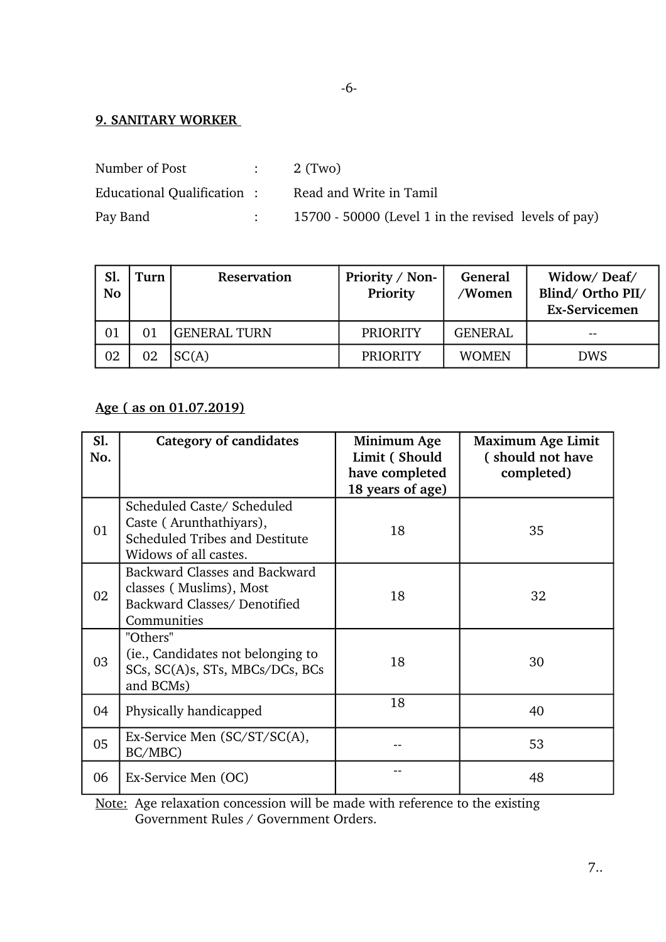## **9. SANITARY WORKER**

| Number of Post             | $\sim 1000$ km s $^{-1}$ | 2 (Two)                                              |
|----------------------------|--------------------------|------------------------------------------------------|
| Educational Qualification: |                          | Read and Write in Tamil                              |
| Pay Band                   |                          | 15700 - 50000 (Level 1 in the revised levels of pay) |

| Sl.<br><b>No</b> | Turn | <b>Reservation</b> | Priority / Non-<br>Priority | General<br>/Women | Widow/Deaf/<br>Blind/ Ortho PII/<br><b>Ex-Servicemen</b> |
|------------------|------|--------------------|-----------------------------|-------------------|----------------------------------------------------------|
| 01               |      | IGENERAL TURN      | <b>PRIORITY</b>             | <b>GENERAL</b>    | $- -$                                                    |
| 02               | 02   | SC(A)              | <b>PRIORITY</b>             | <b>WOMEN</b>      | <b>DWS</b>                                               |

## **Age ( as on 01.07.2019)**

| Sl.<br>No. | <b>Category of candidates</b>                                                                                    | Minimum Age<br>Limit (Should<br>have completed<br>18 years of age) | <b>Maximum Age Limit</b><br>(should not have<br>completed) |
|------------|------------------------------------------------------------------------------------------------------------------|--------------------------------------------------------------------|------------------------------------------------------------|
| 01         | Scheduled Caste/ Scheduled<br>Caste (Arunthathiyars),<br>Scheduled Tribes and Destitute<br>Widows of all castes. | 18                                                                 | 35                                                         |
| 02         | Backward Classes and Backward<br>classes (Muslims), Most<br>Backward Classes/ Denotified<br>Communities          | 18                                                                 | 32                                                         |
| 03         | "Others"<br>(ie., Candidates not belonging to<br>SCs, SC(A)s, STs, MBCs/DCs, BCs<br>and BCMs)                    | 18                                                                 | 30                                                         |
| 04         | Physically handicapped                                                                                           | 18                                                                 | 40                                                         |
| 05         | Ex-Service Men (SC/ST/SC(A),<br>BC/MBC)                                                                          |                                                                    | 53                                                         |
| 06         | Ex-Service Men (OC)                                                                                              |                                                                    | 48                                                         |

Note: Age relaxation concession will be made with reference to the existing Government Rules / Government Orders.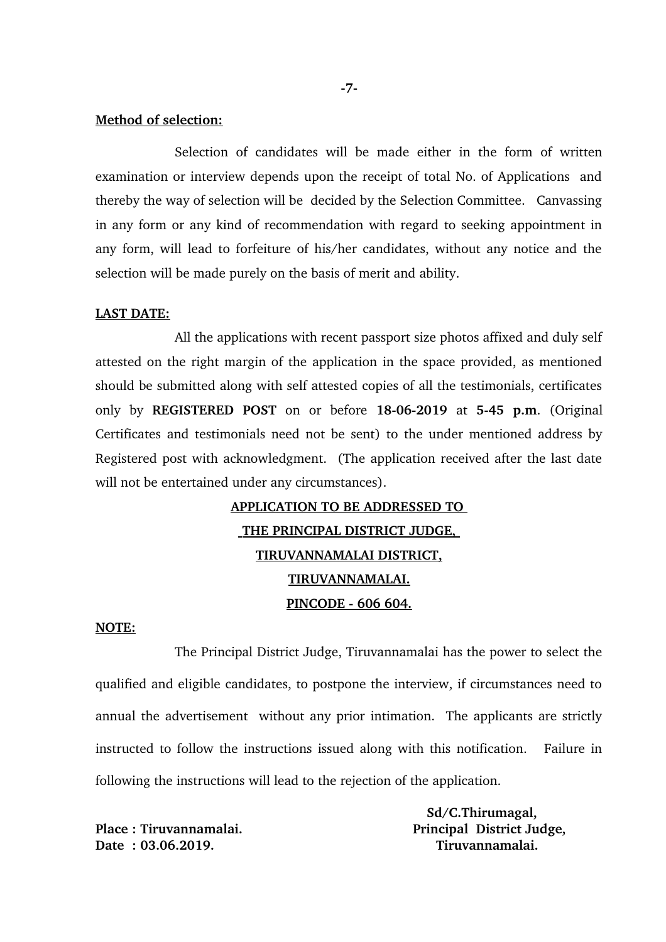#### **Method of selection:**

Selection of candidates will be made either in the form of written examination or interview depends upon the receipt of total No. of Applications and thereby the way of selection will be decided by the Selection Committee. Canvassing in any form or any kind of recommendation with regard to seeking appointment in any form, will lead to forfeiture of his/her candidates, without any notice and the selection will be made purely on the basis of merit and ability.

#### **LAST DATE:**

All the applications with recent passport size photos affixed and duly self attested on the right margin of the application in the space provided, as mentioned should be submitted along with self attested copies of all the testimonials, certificates only by **REGISTERED POST** on or before **18062019** at **545 p.m**. (Original Certificates and testimonials need not be sent) to the under mentioned address by Registered post with acknowledgment. (The application received after the last date will not be entertained under any circumstances).

# **APPLICATION TO BE ADDRESSED TO THE PRINCIPAL DISTRICT JUDGE, TIRUVANNAMALAI DISTRICT, TIRUVANNAMALAI. PINCODE 606 604.**

#### **NOTE:**

The Principal District Judge, Tiruvannamalai has the power to select the qualified and eligible candidates, to postpone the interview, if circumstances need to annual the advertisement without any prior intimation. The applicants are strictly instructed to follow the instructions issued along with this notification. Failure in following the instructions will lead to the rejection of the application.

**Date : 03.06.2019. Tiruvannamalai.**

 **Sd/C.Thirumagal,** Place : Tiruvannamalai. **Principal District Judge,**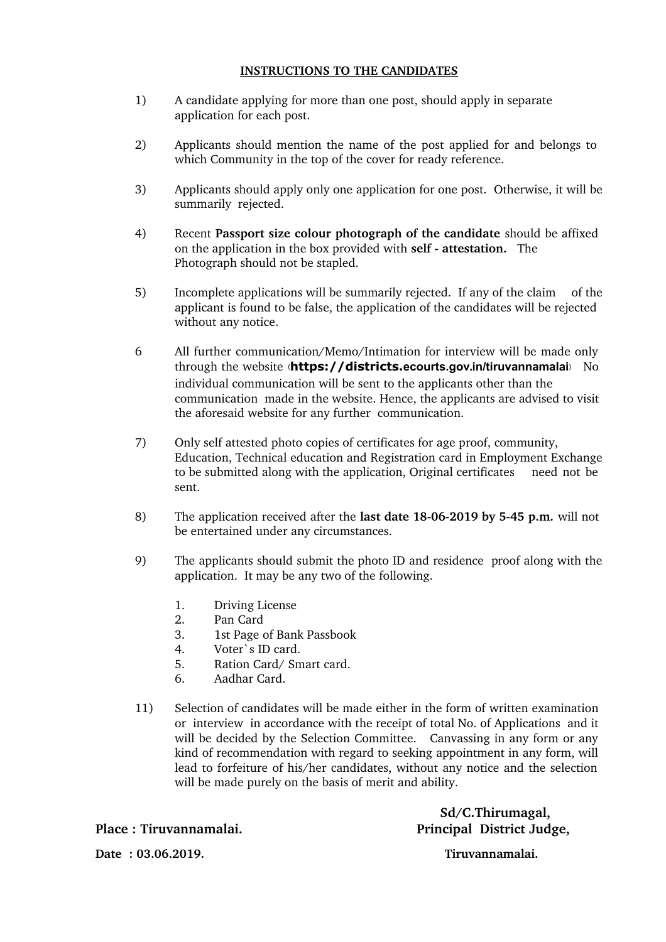#### **INSTRUCTIONS TO THE CANDIDATES**

- 1) A candidate applying for more than one post, should apply in separate application for each post.
- 2) Applicants should mention the name of the post applied for and belongs to which Community in the top of the cover for ready reference.
- 3) Applicants should apply only one application for one post. Otherwise, it will be summarily rejected.
- 4) Recent **Passport size colour photograph of the candidate** should be affixed on the application in the box provided with **self attestation.** The Photograph should not be stapled.
- 5) Incomplete applications will be summarily rejected. If any of the claim of the applicant is found to be false, the application of the candidates will be rejected without any notice.
- 6 All further communication/Memo/Intimation for interview will be made only through the website (**https://districts.ecourts.gov.in/tiruvannamalai**) No individual communication will be sent to the applicants other than the communication made in the website. Hence, the applicants are advised to visit the aforesaid website for any further communication.
- 7) Only self attested photo copies of certificates for age proof, community, Education, Technical education and Registration card in Employment Exchange to be submitted along with the application, Original certificates need not be sent.
- 8) The application received after the **last date 18062019 by 545 p.m.** will not be entertained under any circumstances.
- 9) The applicants should submit the photo ID and residence proof along with the application. It may be any two of the following.
	- 1. Driving License
	- 2. Pan Card
	- 3. 1st Page of Bank Passbook
	- 4. Voter`s ID card.
	- 5. Ration Card/ Smart card.
	- 6. Aadhar Card.
- 11) Selection of candidates will be made either in the form of written examination or interview in accordance with the receipt of total No. of Applications and it will be decided by the Selection Committee. Canvassing in any form or any kind of recommendation with regard to seeking appointment in any form, will lead to forfeiture of his/her candidates, without any notice and the selection will be made purely on the basis of merit and ability.

 **Sd/C.Thirumagal, Place : Tiruvannamalai. Principal District Judge,**

**Date : 03.06.2019. Tiruvannamalai.**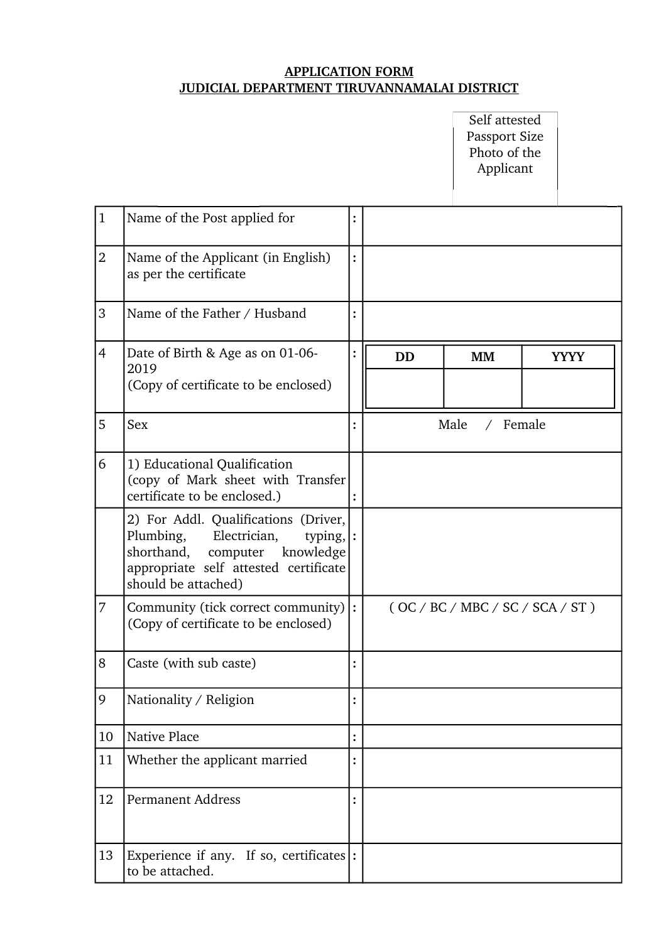## **APPLICATION FORM JUDICIAL DEPARTMENT TIRUVANNAMALAI DISTRICT**

Self attested Passport Size Photo of the Applicant

| $\mathbf{1}$   | Name of the Post applied for                                                                                                                                                                  |           |                       |             |
|----------------|-----------------------------------------------------------------------------------------------------------------------------------------------------------------------------------------------|-----------|-----------------------|-------------|
| $\overline{2}$ | Name of the Applicant (in English)<br>as per the certificate                                                                                                                                  |           |                       |             |
| 3              | Name of the Father / Husband                                                                                                                                                                  |           |                       |             |
| $\overline{4}$ | Date of Birth & Age as on 01-06-<br>2019<br>(Copy of certificate to be enclosed)                                                                                                              | <b>DD</b> | <b>MM</b>             | <b>YYYY</b> |
| 5              | Sex                                                                                                                                                                                           |           | Male<br>/ Female      |             |
| 6              | 1) Educational Qualification<br>(copy of Mark sheet with Transfer)<br>certificate to be enclosed.)                                                                                            |           |                       |             |
|                | 2) For Addl. Qualifications (Driver,<br>Plumbing,<br>Electrician,<br>typing, $\vert$ :<br>shorthand,<br>knowledge<br>computer<br>appropriate self attested certificate<br>should be attached) |           |                       |             |
| 7              | Community (tick correct community)<br>(Copy of certificate to be enclosed)                                                                                                                    |           | (OC/BC/MEC/SC/SCA/ST) |             |
| 8              | Caste (with sub caste)                                                                                                                                                                        |           |                       |             |
| 9              | Nationality / Religion                                                                                                                                                                        |           |                       |             |
| 10             | Native Place                                                                                                                                                                                  |           |                       |             |
| 11             | Whether the applicant married                                                                                                                                                                 |           |                       |             |
| 12             | <b>Permanent Address</b>                                                                                                                                                                      |           |                       |             |
| 13             | Experience if any. If so, certificates $ $ :<br>to be attached.                                                                                                                               |           |                       |             |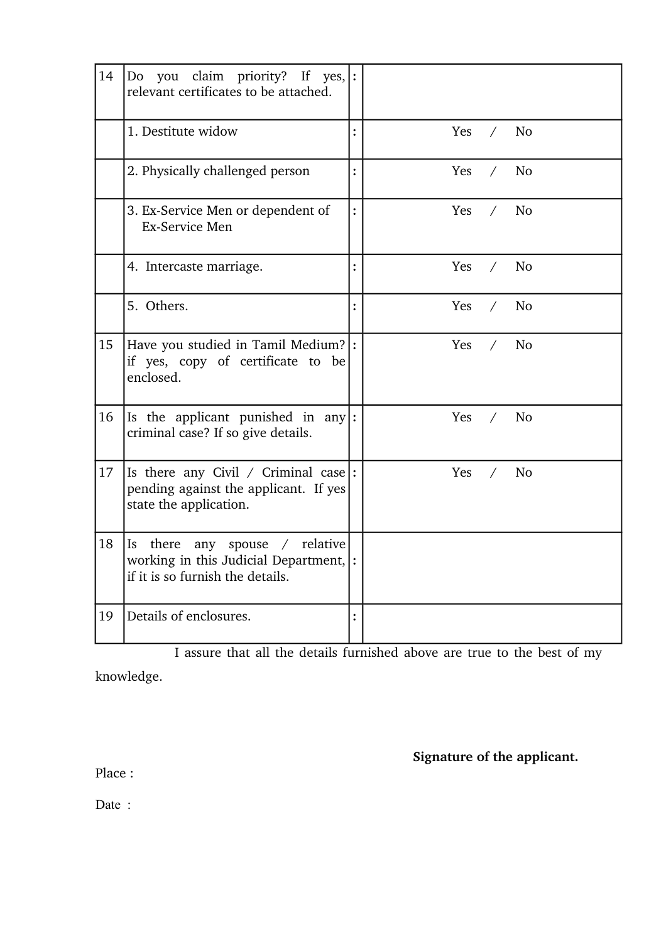| 14 | Do you claim priority? If yes, $ $ :<br>relevant certificates to be attached.                                        |                                     |
|----|----------------------------------------------------------------------------------------------------------------------|-------------------------------------|
|    | 1. Destitute widow                                                                                                   | N <sub>o</sub><br>Yes<br>$\sqrt{2}$ |
|    | 2. Physically challenged person                                                                                      | Yes<br><b>No</b><br>$\sqrt{2}$      |
|    | 3. Ex-Service Men or dependent of<br><b>Ex-Service Men</b>                                                           | No<br>Yes<br>$\sqrt{2}$             |
|    | 4. Intercaste marriage.                                                                                              | No<br>Yes<br>$\sqrt{2}$             |
|    | 5. Others.                                                                                                           | Yes<br>N <sub>o</sub><br>$\sqrt{2}$ |
| 15 | Have you studied in Tamil Medium? :<br>if yes, copy of certificate to be<br>enclosed.                                | Yes<br><b>No</b><br>$\sqrt{2}$      |
| 16 | Is the applicant punished in any :<br>criminal case? If so give details.                                             | Yes<br>N <sub>o</sub><br>$\sqrt{2}$ |
| 17 | Is there any Civil / Criminal case:<br>pending against the applicant. If yes<br>state the application.               | N <sub>o</sub><br>Yes<br>$\sqrt{2}$ |
| 18 | any spouse / relative<br>there<br>Is [<br>working in this Judicial Department, :<br>if it is so furnish the details. |                                     |
| 19 | Details of enclosures.                                                                                               |                                     |

I assure that all the details furnished above are true to the best of my

knowledge.

**Signature of the applicant.**

Place :

Date :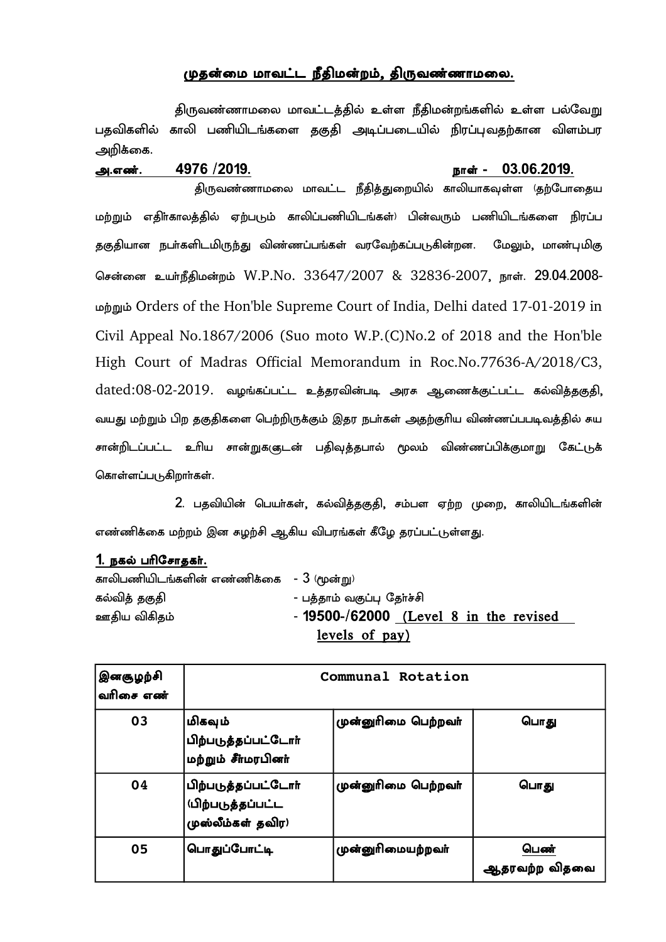## முதன்மை மாவட்ட நீதிமன்றம், திருவண்ணாமலை.

திருவண்ணாமலை மாவட்டத்தில் உள்ள நீதிமன்றங்களில் உள்ள பல்வேறு பதவிகளில் காலி பணியிடங்களை தகுதி அடிப்படையில் நிரப்புவதற்கான விளம்பர அறிக்கை.

#### m/vz;/ 4976 -2019/ ehs; ? 03/06/2019/

திருவண்ணாமலை மாவட்ட நீதித்துறையில் காலியாகவுள்ள (தற்போதைய மற்றும் எதிா்காலத்தில் ஏற்படும் காலிப்பணியிடங்கள்<sup>)</sup> பின்வரும் பணியிடங்களை நிரப்ப தகுதியான நபா்களிடமிருந்து விண்ணப்பங்கள் வரவேற்கப்படுகின்றன. மேலும், மாண்புமிகு சென்னை உயர்நீதிமன்றம் W.P.No. 33647/2007 & 32836-2007, நாள். 29.04.2008kw;Wk; Orders of the Hon'ble Supreme Court of India, Delhi dated 17012019 in Civil Appeal No.1867/2006 (Suo moto W.P.(C)No.2 of 2018 and the Hon'ble High Court of Madras Official Memorandum in Roc.No.77636-A/2018/C3, dated:08-02-2019. வழங்கப்பட்ட உத்தரவின்படி அரசு ஆணைக்குட்பட்ட கல்வித்தகுதி, வயது மற்றும் பிற தகுதிகளை பெற்றிருக்கும் இதர நபா்கள் அதற்குாிய விண்ணப்பபடிவத்தில் சுய சான்றிடப்பட்ட உரிய சான்றுகளுடன் பதிவுத்தபால் மூலம் விண்ணப்பிக்குமாறு கேட்டுக் கொள்ளப்படுகிறாா்கள்.

2. பதவியின் பெயர்கள், கல்வித்தகுதி, சம்பள ஏற்ற முறை, காலியிடங்களின் எண்ணிக்கை மற்றம் இன கழற்சி ஆகிய விபரங்கள் கீழே தரப்பட்டுள்ளது.

#### 1. நகல் பரிசோதகர்.

| காலிபணியிடங்களின் எண்ணிக்கை - $3$ (மூன்று) |                                          |
|--------------------------------------------|------------------------------------------|
| கல்வித் தகுதி                              | - பத்தாம் வகுப்பு தேர்ச்சி               |
| ஊதிய விகிதம்                               | $-19500 - 62000$ (Level 8 in the revised |
|                                            | levels of pay)                           |

| இனசூழற்சி<br>வரிசை எண் | Communal Rotation                                                         |                     |                       |  |  |
|------------------------|---------------------------------------------------------------------------|---------------------|-----------------------|--|--|
| 03                     | மிகவும்<br>பிற்படுத்தப்பட்டோர்<br>மற்றும் சீர்மரபினர்                     | முன்னுரிமை பெற்றவர் | பொது                  |  |  |
| 04                     | பிற்படுத்தப்பட்டோர்<br><b>(பிற்படுத்தப்பட்ட</b><br>,<br>முஸ்லீம்கள் தவிர) | முன்னுரிமை பெற்றவர் | பொது                  |  |  |
| 05                     | பொதுப்போட்டி                                                              | முன்னுரிமையற்றவா்   | பெண்<br>ஆதரவற்ற விதவை |  |  |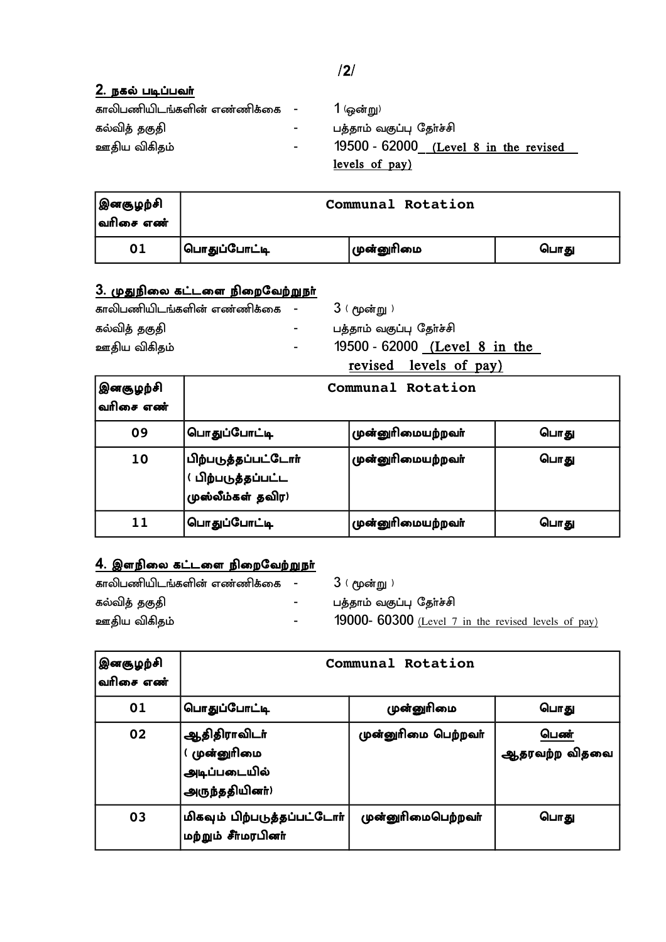| காலிபணியிடங்களின் எண்ணிக்கை - |    | 1 (ஒன்று)                               |
|-------------------------------|----|-----------------------------------------|
| கல்வித் தகுதி                 | ۰. | பத்தாம் வகுப்பு தேர்ச்சி                |
| ஊதிய விகிதம்                  | Ξ. | $19500 - 62000$ (Level 8 in the revised |
|                               |    | levels of pay)                          |

| இனகுழற்சி<br> வரிசை எண் | Communal Rotation |            |      |
|-------------------------|-------------------|------------|------|
| 01                      | பொதுப்போட்டி      | முன்னுரிமை | பொது |

# <u>3. முதுநிலை கட்டளை நிறைவேற்றுநா்</u>

| காலிபணியிடங்களின் எண்ணிக்கை |  |
|-----------------------------|--|
| கல்வித் தகுதி               |  |
| ஊதிய விகிதம்                |  |

 $3$  ( மூன்று )

.<br>பத்தாம் வகுப்பு தோ்ச்சி

19500 - 62000 <u>(Level 8 in the</u> revised levels of pay)

| இனகுழற்சி<br> வரிசை எண் | Communal Rotation                                                    |                   |      |
|-------------------------|----------------------------------------------------------------------|-------------------|------|
| 09                      | பொதுப்போட்டி                                                         | முன்னுரிமையற்றவா் | பொது |
| 10                      | பிற்படுத்தப்பட்டோர்<br> <br>  பிற்படுத்தப்பட்ட<br> முஸ்லீம்கள் தவிர) | முன்னுரிமையற்றவா் | பொது |
| 11                      | பொதுப்போட்டி                                                         | முன்னுரிமையற்றவா் | பொது |

# $\overline{4}$ . இளநிலை கட்டளை நிறைவேற்றுநா்

| காலிபணியிடங்களின் எண்ணிக்கை - |                  | ் 3 ( மூன்று )                                             |
|-------------------------------|------------------|------------------------------------------------------------|
| கல்வித் தகுதி                 | $\sim$ 100 $\mu$ | பத்தாம் வகுப்பு தேர்ச்சி                                   |
| ஊதிய விகிதம்                  | $\sim 10^{-11}$  | <b>19000-</b> 60300 (Level 7 in the revised levels of pay) |

| இனசூழற்சி<br>வரிசை எண் | Communal Rotation                                             |                     |                       |  |
|------------------------|---------------------------------------------------------------|---------------------|-----------------------|--|
| 01                     | பொதுப்போட்டி                                                  | முன்னுரிமை          | பொது                  |  |
| 02                     | ஆதிதிராவிடா்<br>(முன்னுாிமை<br>அடிப்படையில்<br>அருந்ததியினர்) | முன்னுரிமை பெற்றவர் | பெண்<br>ஆதரவற்ற விதவை |  |
| 03                     | மிகவும் பிற்படுத்தப்பட்டோர்<br>மற்றும் சீர்மரபினர்            | முன்னுரிமைபெற்றவர்  | பொது                  |  |

 $/2/$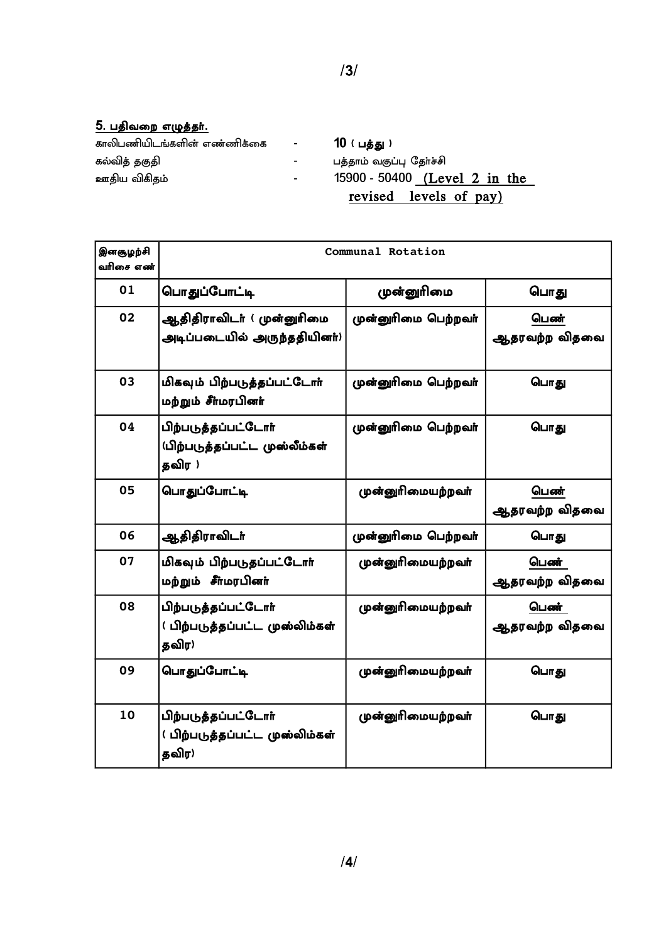## <u>5. பதிவறை எழுத்தர்.</u>

| காலிபணியிடங்களின் எண்ணிக்கை | $\mathcal{L}^{\mathcal{L}}(\mathcal{L}^{\mathcal{L}}(\mathcal{L}^{\mathcal{L}}(\mathcal{L}^{\mathcal{L}}(\mathcal{L}^{\mathcal{L}}(\mathcal{L}^{\mathcal{L}}(\mathcal{L}^{\mathcal{L}}(\mathcal{L}^{\mathcal{L}}(\mathcal{L}^{\mathcal{L}}(\mathcal{L}^{\mathcal{L}}(\mathcal{L}^{\mathcal{L}}(\mathcal{L}^{\mathcal{L}}(\mathcal{L}^{\mathcal{L}}(\mathcal{L}^{\mathcal{L}}(\mathcal{L}^{\mathcal{L}}(\mathcal{L}^{\mathcal{L}}(\mathcal{L}^{\mathcal{L$ | 10 ( பத்து )                  |
|-----------------------------|-----------------------------------------------------------------------------------------------------------------------------------------------------------------------------------------------------------------------------------------------------------------------------------------------------------------------------------------------------------------------------------------------------------------------------------------------------------|-------------------------------|
| கல்வித் தகுதி               | $\sim$                                                                                                                                                                                                                                                                                                                                                                                                                                                    | பத்தாம் வகுப்பு தேர்ச்சி      |
| ஊதிய விகிதம்                | $\sim$                                                                                                                                                                                                                                                                                                                                                                                                                                                    | 15900 - 50400 (Level 2 in the |
|                             |                                                                                                                                                                                                                                                                                                                                                                                                                                                           | revised levels of pay)        |

| இனசூழற்சி<br>வரிசை எண் | Communal Rotation                                              |                     |                       |  |
|------------------------|----------------------------------------------------------------|---------------------|-----------------------|--|
| 01                     | பொதுப்போட்டி                                                   | முன்னுரிமை          | பொது                  |  |
| 02                     | ஆதிதிராவிடா்(முன்னுாிமை<br>அடிப்படையில் அருந்ததியினா்)         | முன்னுரிமை பெற்றவர் | பெண்<br>ஆதரவற்ற விதவை |  |
| 03                     | மிகவும் பிற்படுத்தப்பட்டோர்<br>மற்றும் சீர்மரபினர்             | முன்னுரிமை பெற்றவர் | பொது                  |  |
| 04                     | பிற்படுத்தப்பட்டோர்<br>(பிற்படுத்தப்பட்ட முஸ்லீம்கள்<br>தவிர ) | முன்னுரிமை பெற்றவர் | பொது                  |  |
| 05                     | பொதுப்போட்டி                                                   | முன்னுரிமையற்றவா்   | பெண்<br>ஆதரவற்ற விதவை |  |
| 06                     | ஆதிதிராவிடா்                                                   | முன்னுரிமை பெற்றவர் | பொது                  |  |
| 07                     | மிகவும் பிற்படுதப்பட்டோர்<br>மற்றும் சீர்மரபினர்               | முன்னுரிமையற்றவா்   | பெண்<br>ஆதரவற்ற விதவை |  |
| 08                     | பிற்படுத்தப்பட்டோர்<br>( பிற்படுத்தப்பட்ட முஸ்லிம்கள்<br>தவிர) | முன்னுரிமையற்றவா்   | பெண்<br>ஆதரவற்ற விதவை |  |
| 09                     | பொதுப்போட்டி                                                   | முன்னுரிமையற்றவா்   | பொது                  |  |
| 10                     | பிற்படுத்தப்பட்டோர்<br>(பிற்படுத்தப்பட்ட முஸ்லிம்கள்<br>தவிர)  | முன்னுரிமையற்றவா்   | பொது                  |  |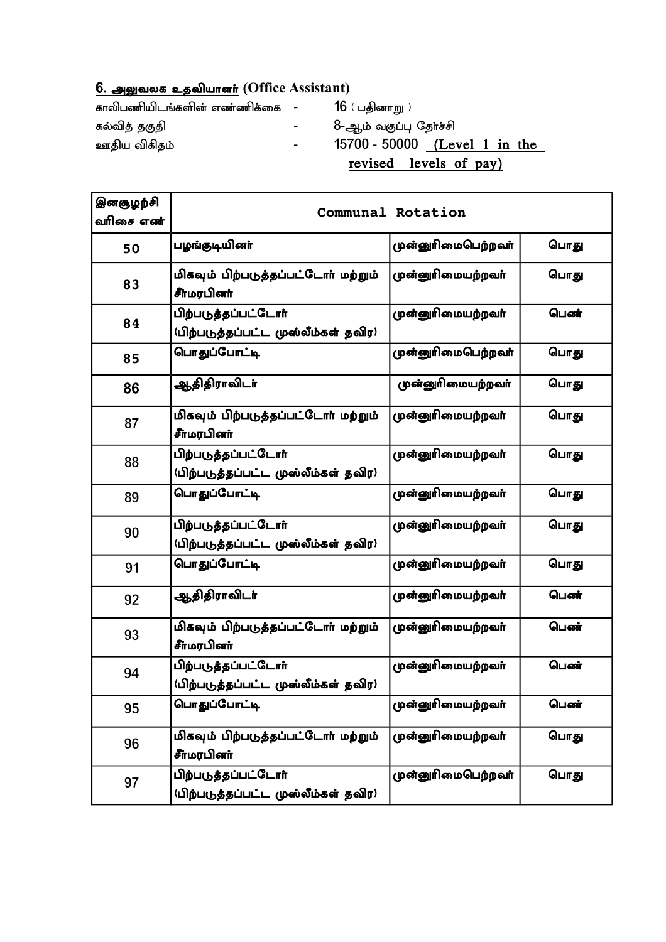# <mark>6. அலுவலக உதவியாளர் (Office Assistant)</mark>

| காலிபணியிடங்களின் எண்ணிக்கை - |            | 16 ( பதினாறு )                |
|-------------------------------|------------|-------------------------------|
| கல்வித் தகுதி                 | $\sim$     | 8-ஆம் வகுப்பு தேர்ச்சி        |
| ஊதிய விகிதம்                  | $\sim 100$ | 15700 - 50000 (Level 1 in the |
|                               |            | revised levels of pay)        |

| இனசூழற்சி<br>வரிசை எண் |                                                            | Communal Rotation  |      |
|------------------------|------------------------------------------------------------|--------------------|------|
| 50                     | பழங்குடியினா்                                              | முன்னுரிமைபெற்றவா் | பொது |
| 83                     | மிகவும் பிற்படுத்தப்பட்டோர் மற்றும்<br>சீர்மரபினர்         | முன்னுரிமையற்றவா்  | பொது |
| 84                     | பிற்படுத்தப்பட்டோர்<br>(பிற்படுத்தப்பட்ட முஸ்லீம்கள் தவிர) | முன்னுரிமையற்றவா்  | பெண் |
| 85                     | பொதுப்போட்டி                                               | முன்னுரிமைபெற்றவர் | பொது |
| 86                     | ஆதிதிராவிடா்                                               | முன்னுரிமையற்றவா்  | பொது |
| 87                     | மிகவும் பிற்படுத்தப்பட்டோர் மற்றும்<br>சீர்மரபினர்         | முன்னுரிமையற்றவா்  | பொது |
| 88                     | பிற்படுத்தப்பட்டோர்<br>(பிற்படுத்தப்பட்ட முஸ்லீம்கள் தவிர) | முன்னுரிமையற்றவர்  | பொது |
| 89                     | பொதுப்போட்டி                                               | முன்னுரிமையற்றவா்  | பொது |
| 90                     | பிற்படுத்தப்பட்டோர்<br>(பிற்படுத்தப்பட்ட முஸ்லீம்கள் தவிர) | முன்னுரிமையற்றவா்  | பொது |
| 91                     | பொதுப்போட்டி                                               | முன்னுரிமையற்றவா்  | பொது |
| 92                     | ஆதிதிராவிடா்                                               | முன்னுரிமையற்றவர்  | பெண் |
| 93                     | மிகவும் பிற்படுத்தப்பட்டோர் மற்றும்<br>சீர்மரபினர்         | முன்னுரிமையற்றவா்  | பெண் |
| 94                     | பிற்படுத்தப்பட்டோர்<br>(பிற்படுத்தப்பட்ட முஸ்லீம்கள் தவிர) | முன்னுரிமையற்றவா்  | பெண் |
| 95                     | பொதுப்போட்டி                                               | முன்னுரிமையற்றவா்  | பெண் |
| 96                     | மிகவும் பிற்படுத்தப்பட்டோர் மற்றும்<br>சீர்மரபினர்         | முன்னுரிமையற்றவா்  | பொது |
| 97                     | பிற்படுத்தப்பட்டோர்<br>(பிற்படுத்தப்பட்ட முஸ்லீம்கள் தவிர) | முன்னுரிமைபெற்றவா் | பொது |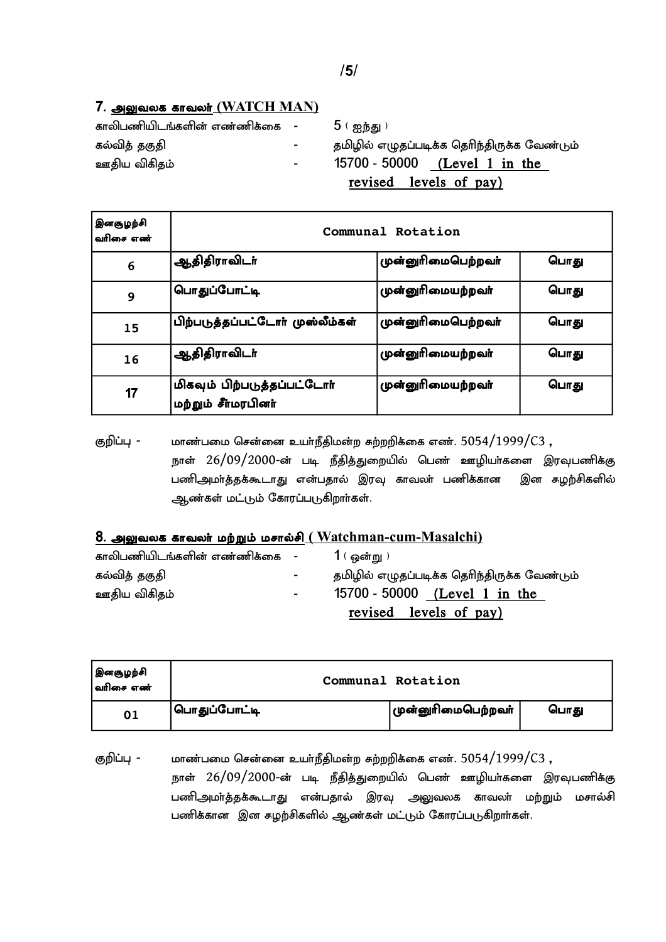## 7. அலுவலக காவலர<u>் (WATCH MAN)</u>

| காலிபணியிடங்களின் எண்ணிக்கை - | $5$ ( ஐந்து )                         |
|-------------------------------|---------------------------------------|
| $\sim$                        | தமிழில் எழுதப்படிக்க தெரிந்திருக்க வே |
| $\sim$ 100 $\mu$              | $15700 - 50000$ (Level 1 in the       |
|                               |                                       |

| காலிபணியிடங்களின் எண்ணிக்கை - |                  | 5 ( ஐந்து )                                 |
|-------------------------------|------------------|---------------------------------------------|
| கல்வித் தகுதி                 | $\sim$ 100 $\mu$ | தமிழில் எழுதப்படிக்க தெரிந்திருக்க வேண்டும் |
| ஊதிய விகிதம்                  | $\sim$           | 15700 - 50000 (Level 1 in the               |
|                               |                  | revised levels of pay)                      |

| இனசூழற்சி<br>வரிசை எண் | Communal Rotation                                  |                    |      |
|------------------------|----------------------------------------------------|--------------------|------|
| 6                      | <sup>!</sup> ஆதிதிராவிடா்                          | முன்னுரிமைபெற்றவர் | பொது |
| 9                      | <sup>'</sup> பொதுப்போட்டி                          | முன்னுரிமையற்றவா்  | பொது |
| 15                     | பிற்படுத்தப்பட்டோர் முஸ்லீம்கள்                    | முன்னுரிமைபெற்றவர் | பொது |
| 16                     | <sup>!</sup> ஆதிதிராவிடா்                          | முன்னுரிமையற்றவா்  | பொது |
| 17                     | மிகவும் பிற்படுத்தப்பட்டோர்<br>மற்றும் சீர்மரபினர் | முன்னுரிமையற்றவா்  | பொது |

குறிப்பு - மாண்பமை சென்னை உயர்நீதிமன்ற கற்றறிக்கை எண்.  $5054/1999/C3$  , நாள் 26/09/2000-ன் படி நீதித்துறையில் பெண் ஊழியர்களை இரவுபணிக்கு பணிஅமா்த்தக்கூடாது என்பதால் இரவு காவலா் பணிக்கான இன கழற்சிகளில் ஆண்கள் மட்டும் கோரப்படுகிறார்கள்.

## 8. அலுவலக காவலர் மற்றும் மசால்சி <u>(Watchman-cum-Masalchi)</u>

| காலிபணியிடங்களின் எண்ணிக்கை - |                          | $1$ ( ஒன்று )                               |
|-------------------------------|--------------------------|---------------------------------------------|
| கல்வித் தகுதி                 | $\sim$                   | தமிழில் எழுதப்படிக்க தெரிந்திருக்க வேண்டும் |
| ஊதிய விகிதம்                  | $\overline{\phantom{0}}$ | 15700 - 50000 (Level 1 in the               |
|                               |                          | revised levels of pay)                      |

| இனசூழற்சி<br> <br> வரிசை எண் |                       | Communal Rotation  |      |
|------------------------------|-----------------------|--------------------|------|
| 01                           | <u>  பொதுப்போட்டி</u> | முன்னுரிமைபெற்றவா் | பொது |

குறிப்பு - மாண்பமை சென்னை உயர்நீதிமன்ற கற்றறிக்கை எண்.  $5054/1999/C3$  , நாள்  $26/09/2000$ -ன் படி நீதித்துறையில் பெண் ஊழியர்களை இரவுபணிக்கு பணிஅமா்த்தக்கூடாது என்பதால் இரவு அலுவலக காவலா் மற்றும் மசால்சி பணிக்கான இன கழற்சிகளில் ஆண்கள் மட்டும் கோரப்படுகிறாா்கள்.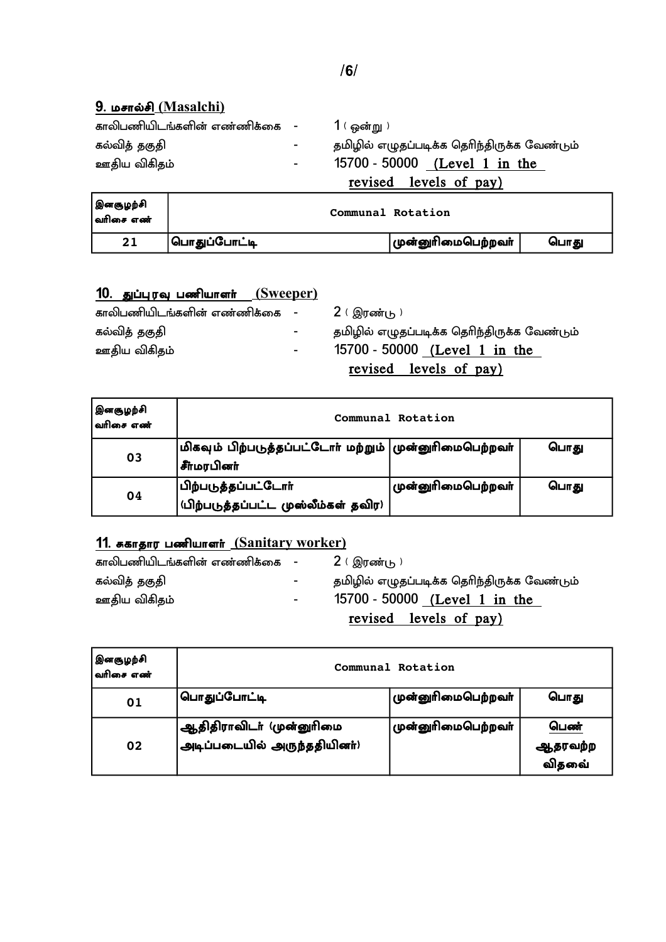# **9. மசால்சி (Masalchi)**

| காலிபணியிடங்களின் எண்ணிக்கை - |                          | $1$ ( ஒன்று )                               |
|-------------------------------|--------------------------|---------------------------------------------|
| கல்வித் தகுதி                 | $\overline{\phantom{a}}$ | தமிழில் எழுதப்படிக்க தெரிந்திருக்க வேண்டும் |
| ஊதிய விகிதம்                  | Ξ.                       | 15700 - 50000 (Level 1 in the               |
|                               |                          | revised levels of pay)                      |

| இனசூழற்சி<br> வரிசை எண் |              | Communal Rotation  |      |
|-------------------------|--------------|--------------------|------|
| 21                      | பொதுப்போட்டி | முன்னுரிமைபெற்றவா் | பொது |

## 10. துப்புரவு பணியாளர் <u>(Sweeper)</u>

| காலிபணியிடங்களின் எண்ணிக்கை - |                  | 2 ( இரண்டு )                                |
|-------------------------------|------------------|---------------------------------------------|
| கல்வித் தகுதி                 | $\sim$ 100 $\mu$ | தமிழில் எழுதப்படிக்க தெரிந்திருக்க வேண்டும் |
| ஊதிய விகிதம்                  | $\sim$ 100 $\mu$ | 15700 - 50000 (Level 1 in the               |
|                               |                  | revised levels of pay)                      |

| இனசூழற்சி<br> <br>  வரிசை எண் | Communal Rotation                                                                      |                    |      |  |
|-------------------------------|----------------------------------------------------------------------------------------|--------------------|------|--|
| 03                            | $\big $ மிகவும் பிற்படுத்தப்பட்டோர் மற்றும் $\big $ முன்னுரிமைபெற்றவர்<br> சீர்மரபினர் |                    | பொது |  |
| 04                            | பிற்படுத்தப்பட்டோர்<br> <br> யிற்படுத்தப்பட்ட முஸ்லீம்கள் தவிர)                        | முன்னுரிமைபெற்றவா் | பொது |  |

## 11. ககாதார பணியாளர் (Sanitary worker)

| காலிபணியிடங்களின் எண்ணிக்கை - |                          | 2 ( இரண்டு )                                |
|-------------------------------|--------------------------|---------------------------------------------|
| கல்வித் தகுதி                 | $\overline{\phantom{a}}$ | தமிழில் எழுதப்படிக்க தெரிந்திருக்க வேண்டும் |
| ஊதிய விகிதம்                  | $\overline{\phantom{a}}$ | 15700 - 50000 (Level 1 in the               |
|                               |                          | revised levels of pay)                      |

| இனசூழற்சி<br> வரிசை எண் | Communal Rotation                                                         |                           |                                 |  |
|-------------------------|---------------------------------------------------------------------------|---------------------------|---------------------------------|--|
| 01                      | பொதுப்போட்டி                                                              | முன்னுரிமைபெற்றவா்        | பொது                            |  |
| 02                      | <sub>ு</sub> ஆதிதிராவிடா் (முன்னுாிமை<br>.<br>அடிப்படையில் அருந்ததியினா்) | <b>முன்னுரிமைபெற்றவா்</b> | பெண்<br>ஆதரவற்ற<br>ு.<br>விதவை் |  |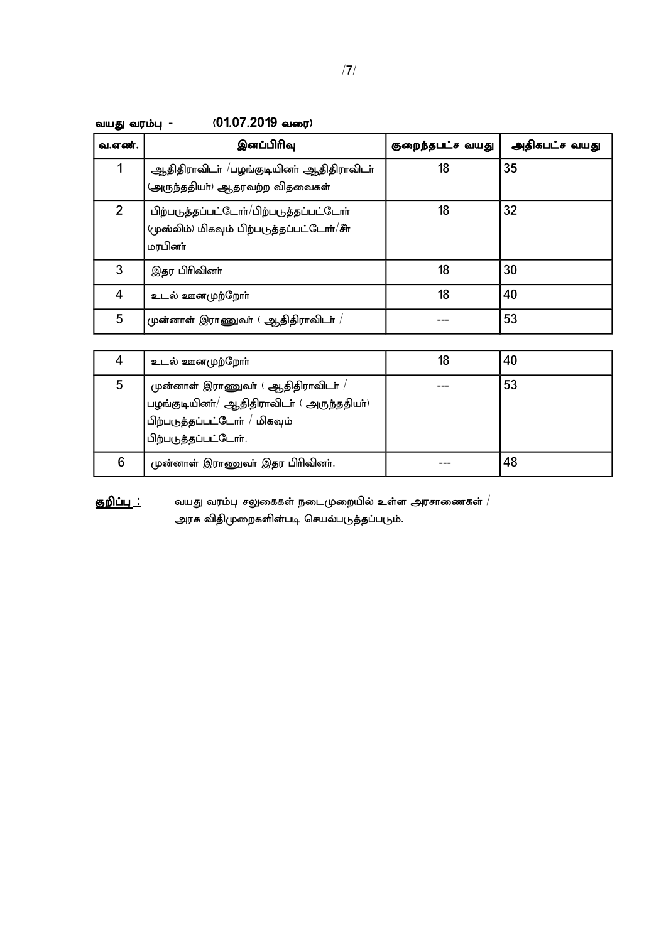| /7/ |
|-----|
|-----|

| வ.எண்.         | இனப்பிரிவு                                                                                        | குறைந்தபட்ச வயது | அதிகபட்ச வயது |
|----------------|---------------------------------------------------------------------------------------------------|------------------|---------------|
|                | ஆதிதிராவிடா் /பழங்குடியினா் ஆதிதிராவிடா்<br>(அருந்ததியா்) ஆதரவற்ற விதவைகள்                        | 18               | 35            |
| $\overline{2}$ | பிற்படுத்தப்பட்டோர்/பிற்படுத்தப்பட்டோர்<br>(முஸ்லிம்) மிகவும் பிற்படுத்தப்பட்டோர்/சீர்<br>மரபினா் | 18               | 32            |
| 3              | இதர பிரிவினா்                                                                                     | 18               | 30            |
| 4              | உடல் ஊனமுற்றோா்                                                                                   | 18               | 40            |
| 5              | முன்னாள் இராணுவா் ( ஆதிதிராவிடா் $\,$ / $\,$                                                      |                  | 53            |

| வயது வரம்பு – | (01.07.2019 வரை) |
|---------------|------------------|
|---------------|------------------|

|   | உடல் ஊனமுற்றோா்                                                                                                                                       | 18 | 40 |
|---|-------------------------------------------------------------------------------------------------------------------------------------------------------|----|----|
| 5 | முன்னாள் இராணுவா் (ஆதிதிராவிடா் /<br>பழங்குடியினா்/ ஆதிதிராவிடா் (அருந்ததியா்)<br>'பிற்படுத்தப்பட்டோா் / மிகவும்<br><sup>1</sup> பிற்படுத்தப்பட்டோா். |    | 53 |
| 6 | முன்னாள் இராணுவா் இதர பிரிவினா்.                                                                                                                      |    | 48 |

 Fwpg;g[ **:** taJ tuk;g[ rYiffs; eilKiwapy; cs;s murhizfs; - அரசு விதிமுறைகளின்படி செயல்படுத்தப்படும்.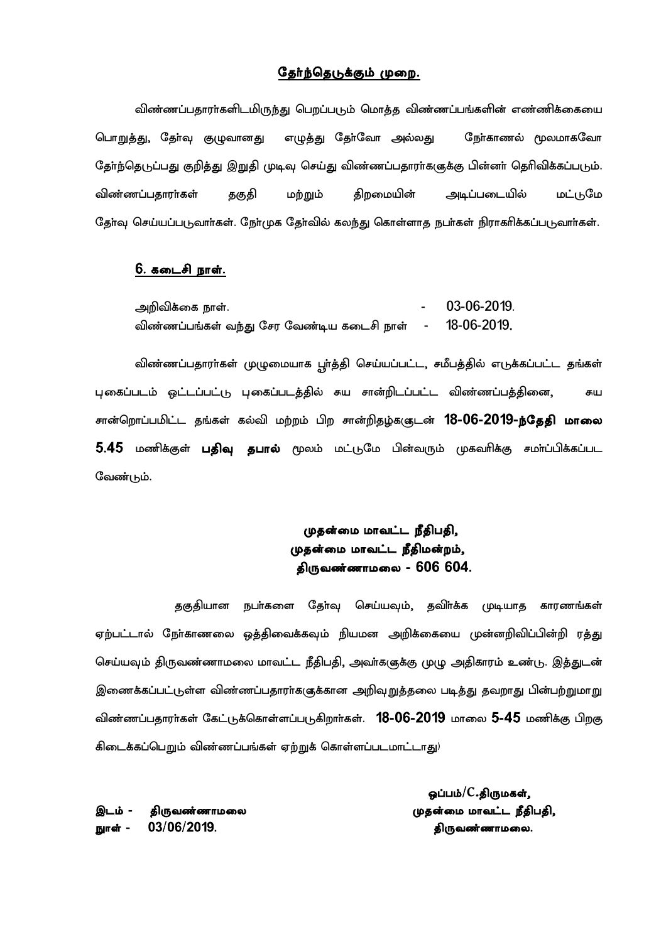#### தேர்ந்தெடுக்கும் முறை.

விண்ணப்பதாரா்களிடமிருந்து பெறப்படும் மொத்த விண்ணப்பங்களின் எண்ணிக்கையை பொறுத்து, தேர்வு குழுவானது எழுத்து தேர்வோ அல்லது நேர்காணல் மூலமாகவோ தேர்ந்தெடுப்பது குறித்து இறுதி முடிவு செய்து விண்ணப்பதாரர்களுக்கு பின்னர் தெரிவிக்கப்படும். விண்ணப்பதாரா்கள் தகுதி மற்றும் திறமையின் அடிப்படையில் மட்டுமே தேர்வு செய்யப்படுவார்கள். நேர்முக தேர்வில் கலந்து கொள்ளாத நபர்கள் நிராகரிக்கப்படுவார்கள்.

#### 6. கடைசி நாள்.

| அறிவிக்கை நாள்.                                 | 03-06-2019. |
|-------------------------------------------------|-------------|
| விண்ணப்பங்கள் வந்து சேர வேண்டிய கடைசி நாள்    - | 18-06-2019. |

விண்ணப்பதாரா்கள் முழுமையாக பூா்த்தி செய்யப்பட்ட, சமீபத்தில் எடுக்கப்பட்ட தங்கள் புகைப்படம் ஒட்டப்பட்டு புகைப்படத்தில் கய சான்றிடப்பட்ட விண்ணப்பத்தினை, கய சான்றொப்பமிட்ட தங்கள் கல்வி மற்றம் பிற சான்றிதழ்களுடன் **18-06-2019-ந்தேதி மாலை** 5.45 மணிக்குள் **பதிவு தபால்** மூலம் மட்டுமே பின்வரும் முகவரிக்கு சமா்ப்பிக்கப்பட வேண்டும்.

## முதன்மை மாவட்ட நீதிபதி, முதன்மை மாவட்ட நீதிமன்றம், திருவண்ணாமலை -  $606$   $604$ .

தகுதியான நபர்களை தேர்வு செய்யவும், தவிர்க்க முடியாத காரணங்கள் ஏற்பட்டால் நோ்காணலை ஒத்திவைக்கவும் நியமன அறிக்கையை முன்னறிவிப்பின்றி ரத்து செய்யவும் திருவண்ணாமலை மாவட்ட நீதிபதி, அவா்களுக்கு முழு அதிகாரம் உண்டு. இத்துடன் இணைக்கப்பட்டுள்ள விண்ணப்பதாரா்களுக்கான அறிவுறுத்தலை படித்து தவறாது பின்பற்றுமாறு விண்ணப்பதாரர்கள் கேட்டுக்கொள்ளப்படுகிறார்கள்.  $18$ -06-2019 மாலை 5-45 மணிக்கு பிறகு கிடைக்கப்பெறும் விண்ணப்பங்கள் ஏற்றுக் கொள்ளப்படமாட்டாது<sup>)</sup>

நூள் -  $03/06/2019$ . மான் - திருவண்ணாமலை.

 $\bf g$ ப்பம் $/C.$ திருமகள், ,lk; ? jpUtz;zhkiy Kjd;ik khtl;l ePjpgjp.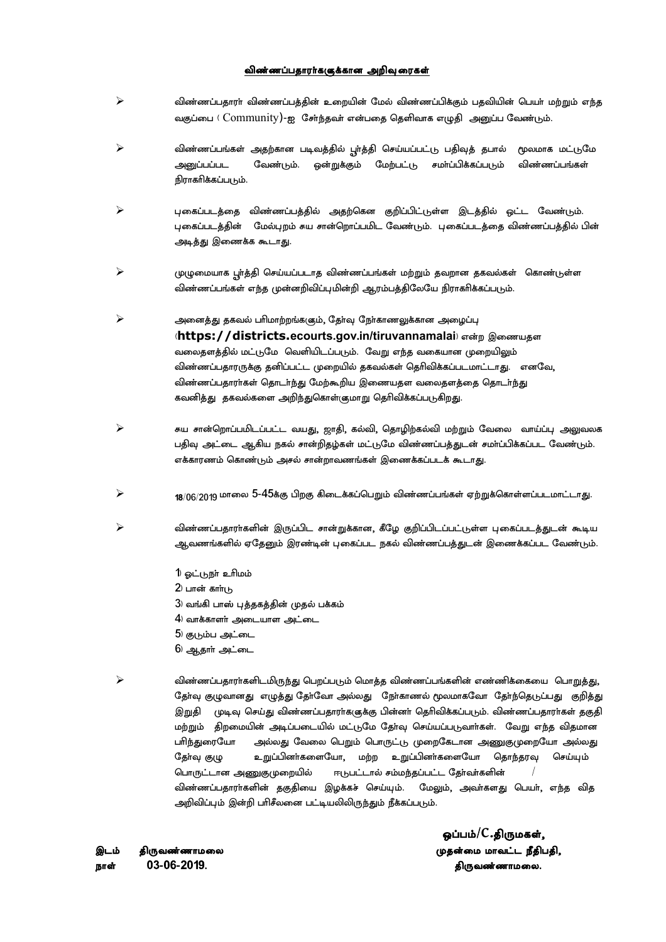#### விண்ணப்பதாரர்க(குக்கான அறிவு ரைகள்

- $\blacktriangleright$  விண்ணப்பதாரா் விண்ணப்பத்தின் உறையின் மேல் விண்ணப்பிக்கும் பதவியின் பெயா் மற்றும் எந்த வகுப்பை (  $\text{Community}$ )-ஐ சேர்ந்தவர் என்பதை தெளிவாக எழுதி அனுப்ப வேண்டும்.
- $\triangleright$   $\triangleright$  விண்ணப்பங்கள் அதற்கான படிவத்தில் பூா்த்தி செய்யப்பட்டு பதிவுத் தபால் மூலமாக மட்டுமே அனுப்பப்பட வேண்டும். ஒன்றுக்கும் மேற்பட்டு சமாப்பிக்கப்படும் விண்ணப்பங்கள் நிராகரிக்கப்படும்.
- $\blacktriangleright$  புகைப்படத்தை விண்ணப்பத்தில் அதற்கென குறிப்பிட்டுள்ள இடத்தில் ஒட்ட வேண்டும். புகைப்படத்தின் மேல்புறம் சுய சான்றொப்பமிட வேண்டும். புகைப்படத்தை விண்ணப்பத்தில் பின் அடித்து இணைக்க கூடாது.
- $\blacktriangleright$  هرې (மு $\mu$ மையாக பூர்த்தி செய்யப்படாத விண்ணப்பங்கள் மற்றும் தவறான தகவல்கள் கொண்டுள்ள விண்ணப்பங்கள் எந்த முன்னறிவிப்புமின்றி ஆரம்பத்திலேயே நிராகரிக்கப்படும்.
- $\triangleright$  அனைத்து தகவல் பரிமாற்றங்க(கும், தேர்வு நேர்காணலுக்கான அழைப்பு (https://districts.ecourts.gov.in/tiruvannamalai) என்ற இணையகள வலைதளத்தில் மட்டுமே வெளியிடப்படும். வேறு எந்த வகையான முறையிலும் விண்ணப்பதாரருக்கு தனிப்பட்ட முறையில் தகவல்கள் தெரிவிக்கப்படமாட்டாது. எனவே, விண்ணப்பதாரர்கள் தொடர்ந்து மேற்கூறிய இணையதள வலைதளத்தை தொடர்ந்து கவனித்து தகவல்களை அறிந்துகொள்ளுமாறு தெரிவிக்கப்படுகிறது.
- $\triangleright$  சைய சான்றொப்பமிடப்பட்ட வயது, ஜாதி, கல்வி, தொழிற்கல்வி மற்றும் வேலை வாய்ப்பு அலுவலக பதிவு அட்டை ஆகிய நகல் சான்றிதழ்கள் மட்டுமே விண்ணப்பத்துடன் சமா்ப்பிக்கப்பட வேண்டும். எக்காரணம் கொண்டும் அசல் சான்றாவணங்கள் இணைக்கப்படக் கூடாது.
- $\triangleright$  18/06/2019 மாலை 5-45க்கு பிறகு கிடைக்கப்பெறும் விண்ணப்பங்கள் ஏற்றுக்கொள்ளப்படமாட்டாது.
- $\blacktriangleright$   $\blacktriangleright$  விண்ணப்பதாராகளின் இருப்பிட சான்றுக்கான, கீழே குறிப்பிடப்பட்டுள்ள புகைப்படத்துடன் கூடிய ஆவணங்களில் ஏதேனும் இரண்டின் புகைப்பட நகல் விண்ணப்பத்துடன் இணைக்கப்பட வேண்டும்.
	- 1) ஓட்டுநா் உரிமம்
	- $2$ ) பான் காாடு
	- $3$ ) வங்கி பாஸ் புத்தகத்தின் முதல் பக்கம்
	- $|4\rangle$  வாக்காளா் அடையாள அட்டை
	- $5$ ) குடும்ப அட்டை
	- $6$ ) ஆதார் அட்டை
- $\blacktriangleright$   $\blacktriangleright$  விண்ணப்பதாராகளிடமிருந்து பெறப்படும் மொத்த விண்ணப்பங்களின் எண்ணிக்கையை பொறுத்து, தோ்வு குழுவானது எழுத்து தோ்வோ அல்லது நோ்காணல் மூலமாகவோ தோ்ந்தெடுப்பது குறித்து இறுதி முடிவு செய்து விண்ணப்பதாரா்களுக்கு பின்னா் தொிவிக்கப்படும். விண்ணப்பதாரா்கள் தகுதி மற்றும் திறமையின் அடிப்படையில் மட்டுமே தோவு செய்யப்படுவாா்கள். வேறு எந்த விதமான ghpe;Jiunah my;yJ ntiy bgWk; bghUl;L Kiwnflhd mqFKiwnah my;yJ தோ்வு குழு உறுப்பினா்களையோ, மற்ற உறுப்பினா்களையோ தொந்தரவு செய்யும் பொருட்டான அணுகுமுறையில் ஈடுபட்டால் சம்மந்தப்பட்ட தோ்வா்களின் விண்ணப்பதாரா்களின் தகுதியை இழக்கச் செய்யும். மேலும், அவா்களது பெயா், எந்த வித அறிவிப்பும் இன்றி பரிசீலனை பட்டியலிலிருந்தும் நீக்கப்படும்.

ehs; 03?06?2019/ jpUtz;zhkiy/

 $\boldsymbol{\omega}$ ப்பம் $/C.$ திருமகள், ,lk; jpUtz;zhkiy Kjd;ik khtl;l ePjpgjp.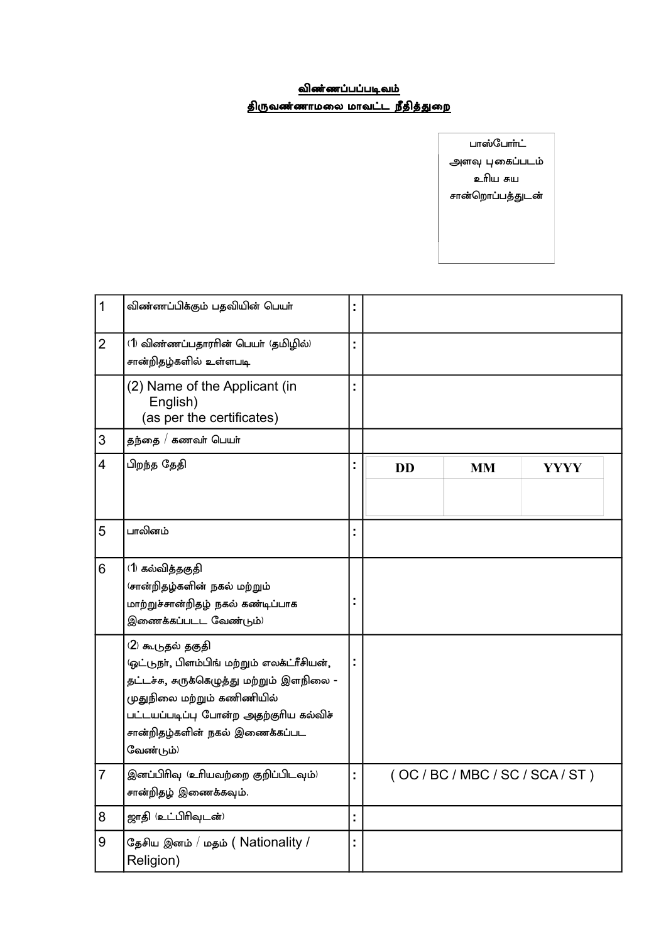## <u>விண்ணப்பப்படிவம்</u> <u>திருவண்ணாமலை மாவட்ட நீதித்துறை</u>

பாஸ்போா்ட் அளவு புகைப்படம் உரிய சுய சான்றொப்பத்துடன்

| $\mathbf{1}$   | விண்ணப்பிக்கும் பதவியின் பெயா்                                                                                                                                                                                                       |   |           |                                 |             |  |
|----------------|--------------------------------------------------------------------------------------------------------------------------------------------------------------------------------------------------------------------------------------|---|-----------|---------------------------------|-------------|--|
| $\overline{2}$ | (1) விண்ணப்பதாரரின் பெயர் (தமிழில்)<br>சான்றிதழ்களில் உள்ளபடி                                                                                                                                                                        |   |           |                                 |             |  |
|                | (2) Name of the Applicant (in<br>English)<br>(as per the certificates)                                                                                                                                                               |   |           |                                 |             |  |
| 3              | தந்தை / கணவா் பெயா்                                                                                                                                                                                                                  |   |           |                                 |             |  |
| $\overline{4}$ | பிறந்த தேதி                                                                                                                                                                                                                          |   | <b>DD</b> | <b>MM</b>                       | <b>YYYY</b> |  |
| 5              | பாலினம்                                                                                                                                                                                                                              |   |           |                                 |             |  |
| 6              | (1) கல்வித்தகுதி<br>(சான்றிதழ்களின் நகல் மற்றும்<br>மாற்றுச்சான்றிதழ் நகல் கண்டிப்பாக<br>இணைக்கப்படட வேண்டும்)                                                                                                                       |   |           |                                 |             |  |
|                | (2) கூடுதல் தகுதி<br>'ஒட்டுநா், பிளம்பிங் மற்றும் எலக்ட்ரீசியன்,<br>தட்டச்சு, சுருக்கெழுத்து மற்றும் இளநிலை -<br>முதுநிலை மற்றும் கணிணியில்<br>பட்டயப்படிப்பு போன்ற அதற்குரிய கல்விச்<br>சான்றிதழ்களின் நகல் இணைக்கப்பட<br>வேண்டும்) |   |           |                                 |             |  |
| $\overline{7}$ | இனப்பிரிவு (உரியவற்றை குறிப்பிடவும்)<br>சான்றிதழ் இணைக்கவும்.                                                                                                                                                                        |   |           | (OC / BC / MBC / SC / SCA / ST) |             |  |
| 8              | ஜாதி (உட்பிரிவுடன்)                                                                                                                                                                                                                  | Ì |           |                                 |             |  |
| 9              | தேசிய இனம் / மதம் ( Nationality /<br>Religion)                                                                                                                                                                                       |   |           |                                 |             |  |